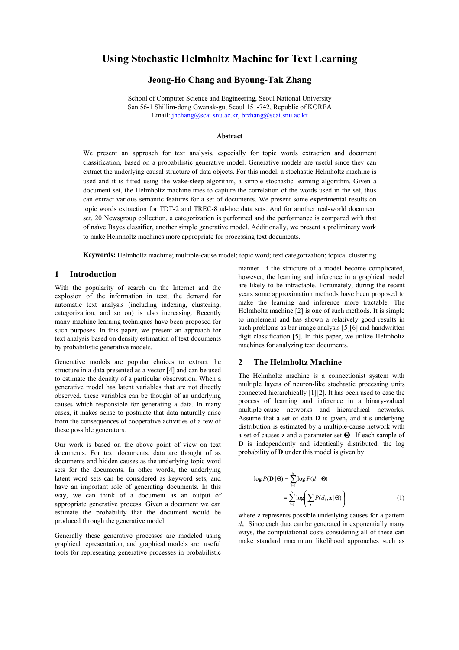# **Using Stochastic Helmholtz Machine for Text Learning**

# **Jeong-Ho Chang and Byoung-Tak Zhang**

School of Computer Science and Engineering, Seoul National University San 56-1 Shillim-dong Gwanak-gu, Seoul 151-742, Republic of KOREA Email: jhchang@scai.snu.ac.kr, btzhang@scai.snu.ac.kr

#### **Abstract**

We present an approach for text analysis, especially for topic words extraction and document classification, based on a probabilistic generative model. Generative models are useful since they can extract the underlying causal structure of data objects. For this model, a stochastic Helmholtz machine is used and it is fitted using the wake-sleep algorithm, a simple stochastic learning algorithm. Given a document set, the Helmholtz machine tries to capture the correlation of the words used in the set, thus can extract various semantic features for a set of documents. We present some experimental results on topic words extraction for TDT-2 and TREC-8 ad-hoc data sets. And for another real-world document set, 20 Newsgroup collection, a categorization is performed and the performance is compared with that of naïve Bayes classifier, another simple generative model. Additionally, we present a preliminary work to make Helmholtz machines more appropriate for processing text documents.

**Keywords:** Helmholtz machine; multiple-cause model; topic word; text categorization; topical clustering.

## **1 Introduction**

With the popularity of search on the Internet and the explosion of the information in text, the demand for automatic text analysis (including indexing, clustering, categorization, and so on) is also increasing. Recently many machine learning techniques have been proposed for such purposes. In this paper, we present an approach for text analysis based on density estimation of text documents by probabilistic generative models.

Generative models are popular choices to extract the structure in a data presented as a vector [4] and can be used to estimate the density of a particular observation. When a generative model has latent variables that are not directly observed, these variables can be thought of as underlying causes which responsible for generating a data. In many cases, it makes sense to postulate that data naturally arise from the consequences of cooperative activities of a few of these possible generators.

Our work is based on the above point of view on text documents. For text documents, data are thought of as documents and hidden causes as the underlying topic word sets for the documents. In other words, the underlying latent word sets can be considered as keyword sets, and have an important role of generating documents. In this way, we can think of a document as an output of appropriate generative process. Given a document we can estimate the probability that the document would be produced through the generative model.

Generally these generative processes are modeled using graphical representation, and graphical models are useful tools for representing generative processes in probabilistic

manner. If the structure of a model become complicated, however, the learning and inference in a graphical model are likely to be intractable. Fortunately, during the recent years some approximation methods have been proposed to make the learning and inference more tractable. The Helmholtz machine [2] is one of such methods. It is simple to implement and has shown a relatively good results in such problems as bar image analysis [5][6] and handwritten digit classification [5]. In this paper, we utilize Helmholtz machines for analyzing text documents.

## **2 The Helmholtz Machine**

The Helmholtz machine is a connectionist system with multiple layers of neuron-like stochastic processing units connected hierarchically [1][2]. It has been used to ease the process of learning and inference in a binary-valued multiple-cause networks and hierarchical networks. Assume that a set of data **D** is given, and it's underlying distribution is estimated by a multiple-cause network with a set of causes **z** and a parameter set **Θ**. If each sample of **D** is independently and identically distributed, the log probability of **D** under this model is given by

$$
\log P(\mathbf{D} | \mathbf{\Theta}) = \sum_{i=1}^{N} \log P(d_i | \mathbf{\Theta})
$$

$$
= \sum_{i=1}^{N} \log \left( \sum_{\mathbf{z}} P(d_i, \mathbf{z} | \mathbf{\Theta}) \right) \tag{1}
$$

where **z** represents possible underlying causes for a pattern *di.* Since each data can be generated in exponentially many ways, the computational costs considering all of these can make standard maximum likelihood approaches such as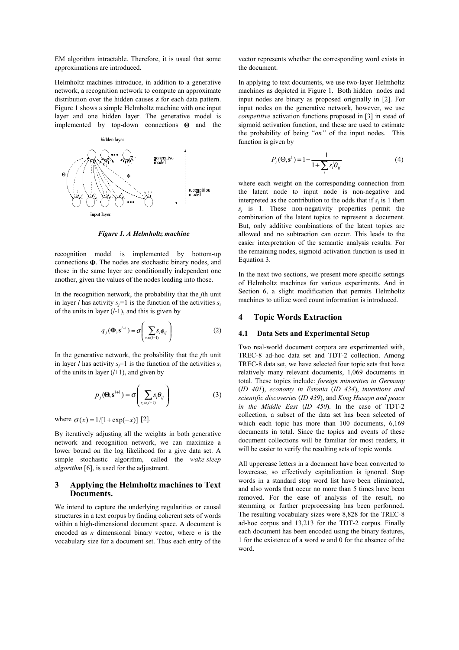EM algorithm intractable. Therefore, it is usual that some approximations are introduced.

Helmholtz machines introduce, in addition to a generative network, a recognition network to compute an approximate distribution over the hidden causes **z** for each data pattern. Figure 1 shows a simple Helmholtz machine with one input layer and one hidden layer. The generative model is implemented by top-down connections **Θ** and the



*Figure 1. A Helmholtz machine* 

recognition model is implemented by bottom-up connections **Φ**. The nodes are stochastic binary nodes, and those in the same layer are conditionally independent one another, given the values of the nodes leading into those.

In the recognition network, the probability that the *j*th unit in layer *l* has activity  $s_i = 1$  is the function of the activities  $s_i$ of the units in layer  $(l-1)$ , and this is given by

$$
q_j(\mathbf{\Phi}, \mathbf{s}^{l-1}) = \sigma\left(\sum_{s_i \in (l-1)} s_i \phi_{ij}\right) \tag{2}
$$

In the generative network, the probability that the *j*th unit in layer *l* has activity  $s_i = 1$  is the function of the activities  $s_i$ of the units in layer  $(l+1)$ , and given by

$$
p_j(\mathbf{\Theta}, \mathbf{s}^{l+1}) = \sigma\left(\sum_{s_i \in (l+1)} s_i \theta_{ij}\right) \tag{3}
$$

where  $\sigma(x) = 1/[1 + \exp(-x)]$  [2].

By iteratively adjusting all the weights in both generative network and recognition network, we can maximize a lower bound on the log likelihood for a give data set. A simple stochastic algorithm, called the *wake-sleep algorithm* [6], is used for the adjustment.

# **3 Applying the Helmholtz machines to Text Documents.**

We intend to capture the underlying regularities or causal structures in a text corpus by finding coherent sets of words within a high-dimensional document space. A document is encoded as *n* dimensional binary vector, where *n* is the vocabulary size for a document set. Thus each entry of the vector represents whether the corresponding word exists in the document.

In applying to text documents, we use two-layer Helmholtz machines as depicted in Figure 1. Both hidden nodes and input nodes are binary as proposed originally in [2]. For input nodes on the generative network, however, we use *competitive* activation functions proposed in [3] in stead of sigmoid activation function, and these are used to estimate the probability of being "*on"* of the input nodes. This function is given by

$$
P_j(\Theta, \mathbf{s}^1) = 1 - \frac{1}{1 + \sum_i s_i^1 \theta_{ij}} \tag{4}
$$

where each weight on the corresponding connection from the latent node to input node is non-negative and interpreted as the contribution to the odds that if  $s_i$  is 1 then  $s_j$  is 1. These non-negativity properties permit the combination of the latent topics to represent a document. But, only additive combinations of the latent topics are allowed and no subtraction can occur. This leads to the easier interpretation of the semantic analysis results. For the remaining nodes, sigmoid activation function is used in Equation 3.

In the next two sections, we present more specific settings of Helmholtz machines for various experiments. And in Section 6, a slight modification that permits Helmholtz machines to utilize word count information is introduced.

# **4 Topic Words Extraction**

#### **4.1 Data Sets and Experimental Setup**

Two real-world document corpora are experimented with, TREC-8 ad-hoc data set and TDT-2 collection. Among TREC-8 data set, we have selected four topic sets that have relatively many relevant documents, 1,069 documents in total. These topics include: *foreign minorities in Germany*  (*ID 401*), *economy in Estonia* (*ID 434*), *inventions and scientific discoveries* (*ID 439*), and *King Husayn and peace in the Middle East* (*ID 450*). In the case of TDT-2 collection, a subset of the data set has been selected of which each topic has more than 100 documents, 6,169 documents in total. Since the topics and events of these document collections will be familiar for most readers, it will be easier to verify the resulting sets of topic words.

All uppercase letters in a document have been converted to lowercase, so effectively capitalization is ignored. Stop words in a standard stop word list have been eliminated, and also words that occur no more than 5 times have been removed. For the ease of analysis of the result, no stemming or further preprocessing has been performed. The resulting vocabulary sizes were 8,828 for the TREC-8 ad-hoc corpus and 13,213 for the TDT-2 corpus. Finally each document has been encoded using the binary features, 1 for the existence of a word *w* and 0 for the absence of the word.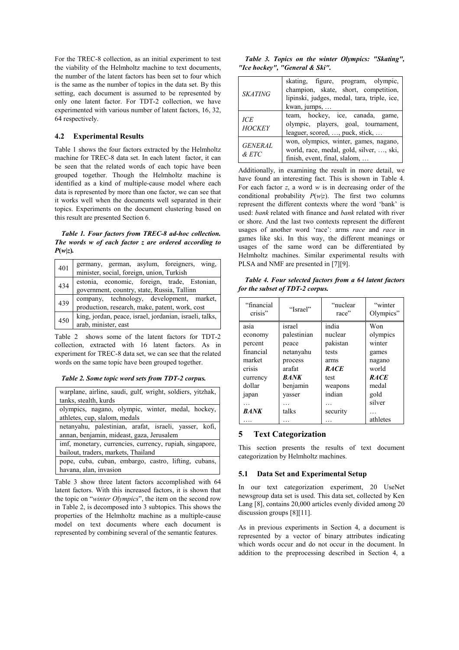For the TREC-8 collection, as an initial experiment to test the viability of the Helmholtz machine to text documents, the number of the latent factors has been set to four which is the same as the number of topics in the data set. By this setting, each document is assumed to be represented by only one latent factor. For TDT-2 collection, we have experimented with various number of latent factors, 16, 32, 64 respectively.

#### **4.2 Experimental Results**

Table 1 shows the four factors extracted by the Helmholtz machine for TREC-8 data set. In each latent factor, it can be seen that the related words of each topic have been grouped together. Though the Helmholtz machine is identified as a kind of multiple-cause model where each data is represented by more than one factor, we can see that it works well when the documents well separated in their topics. Experiments on the document clustering based on this result are presented Section 6.

*Table 1. Four factors from TREC-8 ad-hoc collection. The words w of each factor z are ordered according to*   $P(w|z)$ *.* 

| 401 | germany, german, asylum, foreigners, wing,<br>minister, social, foreign, union, Turkish     |
|-----|---------------------------------------------------------------------------------------------|
| 434 | estonia, economic, foreign, trade, Estonian,<br>government, country, state, Russia, Tallinn |
| 439 | company, technology, development, market,<br>production, research, make, patent, work, cost |
| 450 | king, jordan, peace, israel, jordanian, israeli, talks,<br>arab, minister, east             |

Table 2 shows some of the latent factors for TDT-2 collection, extracted with 16 latent factors. As in experiment for TREC-8 data set, we can see that the related words on the same topic have been grouped together.

*Table 2. Some topic word sets from TDT-2 corpus.* 

| warplane, airline, saudi, gulf, wright, soldiers, yitzhak,<br>tanks, stealth, kurds                 |
|-----------------------------------------------------------------------------------------------------|
| olympics, nagano, olympic, winter, medal, hockey,<br>athletes, cup, slalom, medals                  |
| netanyahu, palestinian, arafat, israeli, yasser, kofi,<br>annan, benjamin, mideast, gaza, Jerusalem |
| imf, monetary, currencies, currency, rupiah, singapore,<br>bailout, traders, markets, Thailand      |
| pope, cuba, cuban, embargo, castro, lifting, cubans,<br>havana, alan, invasion                      |

Table 3 show three latent factors accomplished with 64 latent factors. With this increased factors, it is shown that the topic on "*winter Olympics*", the item on the second row in Table 2, is decomposed into 3 subtopics. This shows the properties of the Helmholtz machine as a multiple-cause model on text documents where each document is represented by combining several of the semantic features.

*Table 3. Topics on the winter Olympics: "Skating", "Ice hockey", "General & Ski".* 

| <b>SKATING</b>        | skating, figure, program, olympic,<br>champion, skate, short, competition,<br>lipinski, judges, medal, tara, triple, ice,<br>kwan, jumps, |
|-----------------------|-------------------------------------------------------------------------------------------------------------------------------------------|
| ICE<br><b>HOCKEY</b>  | team, hockey, ice, canada, game,<br>olympic, players, goal, tournament,<br>leaguer, scored, , puck, stick,                                |
| <b>GENERAL</b><br>ETC | won, olympics, winter, games, nagano,<br>world, race, medal, gold, silver, , ski,<br>finish, event, final, slalom,                        |

Additionally, in examining the result in more detail, we have found an interesting fact. This is shown in Table 4. For each factor *z*, a word *w* is in decreasing order of the conditional probability  $P(w|z)$ . The first two columns represent the different contexts where the word 'bank' is used: *bank* related with finance and *bank* related with river or shore. And the last two contexts represent the different usages of another word 'race': arms *race* and *race* in games like ski. In this way, the different meanings or usages of the same word can be differentiated by Helmholtz machines. Similar experimental results with PLSA and NMF are presented in [7][9].

*Table 4. Four selected factors from a 64 latent factors for the subset of TDT-2 corpus.* 

| "financial<br>crisis" | "Israel"    | "nuclear<br>race" | "winter<br>Olympics" |
|-----------------------|-------------|-------------------|----------------------|
| asia                  | israel      | india             | Won                  |
| economy               | palestinian | nuclear           | olympics             |
| percent               | peace       | pakistan          | winter               |
| financial             | netanyahu   | tests             | games                |
| market                | process     | arms              | nagano               |
| crisis                | arafat      | <b>RACE</b>       | world                |
| currency              | <b>BANK</b> | test              | <b>RACE</b>          |
| dollar                | benjamin    | weapons           | medal                |
| japan                 | yasser      | indian            | gold                 |
| $\ddotsc$             |             |                   | silver               |
| <b>BANK</b>           | talks       | security          | .                    |
|                       |             |                   | athletes             |

## **5 Text Categorization**

This section presents the results of text document categorization by Helmholtz machines.

#### **5.1 Data Set and Experimental Setup**

In our text categorization experiment, 20 UseNet newsgroup data set is used. This data set, collected by Ken Lang [8], contains 20,000 articles evenly divided among 20 discussion groups [8][11].

As in previous experiments in Section 4, a document is represented by a vector of binary attributes indicating which words occur and do not occur in the document. In addition to the preprocessing described in Section 4, a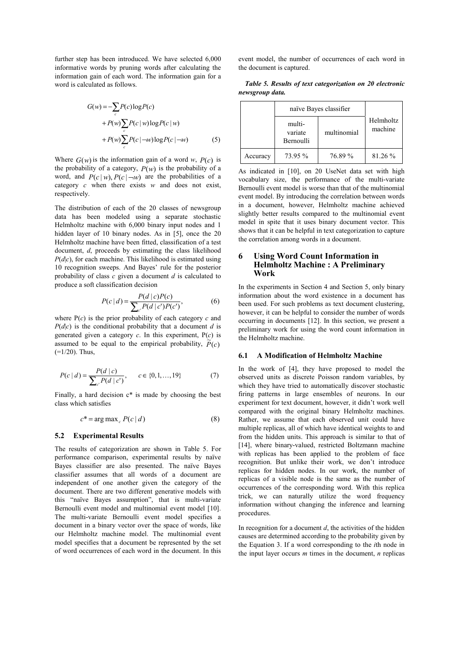further step has been introduced. We have selected 6,000 informative words by pruning words after calculating the information gain of each word. The information gain for a word is calculated as follows.

$$
G(w) = -\sum_{c} P(c) \log P(c)
$$
  
+  $P(w) \sum_{c} P(c | w) \log P(c | w)$   
+  $P(w) \sum_{c} P(c | \neg w) \log P(c | \neg w)$  (5)

Where  $G(w)$  is the information gain of a word *w*,  $P(c)$  is the probability of a category,  $P(w)$  is the probability of a word, and  $P(c|w)$ ,  $P(c|-w)$  are the probabilities of a category *c* when there exists *w* and does not exist, respectively.

The distribution of each of the 20 classes of newsgroup data has been modeled using a separate stochastic Helmholtz machine with 6,000 binary input nodes and 1 hidden layer of 10 binary nodes. As in [5], once the 20 Helmholtz machine have been fitted, classification of a test document, *d*, proceeds by estimating the class likelihood  $P(d|c)$ , for each machine. This likelihood is estimated using 10 recognition sweeps. And Bayes' rule for the posterior probability of class *c* given a document *d* is calculated to produce a soft classification decision

$$
P(c | d) = \frac{P(d | c)P(c)}{\sum_{c'} P(d | c')P(c')},
$$
\n(6)

where P(*c*) is the prior probability of each category *c* and  $P(d|c)$  is the conditional probability that a document *d* is generated given a category *c*. In this experiment, P(*c*) is assumed to be equal to the empirical probability,  $\tilde{P}(c)$  $(=1/20)$ . Thus,

$$
P(c | d) = \frac{P(d | c)}{\sum_{c'} P(d | c')}, \qquad c \in \{0, 1, ..., 19\}
$$
 (7)

Finally, a hard decision c\* is made by choosing the best class which satisfies

$$
c^* = \arg \max_c P(c \mid d) \tag{8}
$$

#### **5.2 Experimental Results**

The results of categorization are shown in Table 5. For performance comparison, experimental results by naïve Bayes classifier are also presented. The naïve Bayes classifier assumes that all words of a document are independent of one another given the category of the document. There are two different generative models with this "naïve Bayes assumption", that is multi-variate Bernoulli event model and multinomial event model [10]. The multi-variate Bernoulli event model specifies a document in a binary vector over the space of words, like our Helmholtz machine model. The multinomial event model specifies that a document be represented by the set of word occurrences of each word in the document. In this event model, the number of occurrences of each word in the document is captured.

|                 |  | Table 5. Results of text categorization on 20 electronic |  |  |
|-----------------|--|----------------------------------------------------------|--|--|
| newsgroup data. |  |                                                          |  |  |

|          |                                | naïve Bayes classifier |                      |
|----------|--------------------------------|------------------------|----------------------|
|          | multi-<br>variate<br>Bernoulli | multinomial            | Helmholtz<br>machine |
| Accuracy | 73.95 %                        | 76.89 %                | 81.26 %              |

As indicated in [10], on 20 UseNet data set with high vocabulary size, the performance of the multi-variate Bernoulli event model is worse than that of the multinomial event model. By introducing the correlation between words in a document, however, Helmholtz machine achieved slightly better results compared to the multinomial event model in spite that it uses binary document vector. This shows that it can be helpful in text categorization to capture the correlation among words in a document.

#### **6 Using Word Count Information in Helmholtz Machine : A Preliminary Work**

In the experiments in Section 4 and Section 5, only binary information about the word existence in a document has been used. For such problems as text document clustering, however, it can be helpful to consider the number of words occurring in documents [12]. In this section, we present a preliminary work for using the word count information in the Helmholtz machine.

#### **6.1 A Modification of Helmholtz Machine**

In the work of [4], they have proposed to model the observed units as discrete Poisson random variables, by which they have tried to automatically discover stochastic firing patterns in large ensembles of neurons. In our experiment for text document, however, it didn't work well compared with the original binary Helmholtz machines. Rather, we assume that each observed unit could have multiple replicas, all of which have identical weights to and from the hidden units. This approach is similar to that of [14], where binary-valued, restricted Boltzmann machine with replicas has been applied to the problem of face recognition. But unlike their work, we don't introduce replicas for hidden nodes. In our work, the number of replicas of a visible node is the same as the number of occurrences of the corresponding word. With this replica trick, we can naturally utilize the word frequency information without changing the inference and learning procedures.

In recognition for a document  $d$ , the activities of the hidden causes are determined according to the probability given by the Equation 3. If a word corresponding to the *i*th node in the input layer occurs *m* times in the document, *n* replicas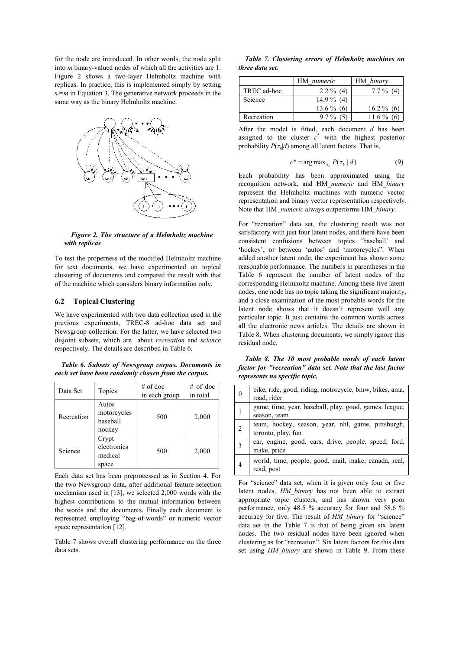for the node are introduced. In other words, the node split into *m* binary-valued nodes of which all the activities are 1. Figure 2 shows a two-layer Helmholtz machine with replicas. In practice, this is implemented simply by setting  $s_i = m$  in Equation 3. The generative network proceeds in the same way as the binary Helmholtz machine.



*Figure 2. The structure of a Helmholtz machine with replicas* 

To test the properness of the modified Helmholtz machine for text documents, we have experimented on topical clustering of documents and compared the result with that of the machine which considers binary information only.

# **6.2 Topical Clustering**

We have experimented with two data collection used in the previous experiments, TREC-8 ad-hoc data set and Newsgroup collection. For the latter, we have selected two disjoint subsets, which are about *recreation* and *science* respectively. The details are described in Table 6.

*Table 6. Subsets of Newsgroup corpus. Documents in each set have been randomly chosen from the corpus.* 

| Data Set   | Topics                                     | $#$ of doc<br>in each group | $#$ of doc<br>in total |
|------------|--------------------------------------------|-----------------------------|------------------------|
| Recreation | Autos<br>motorcycles<br>baseball<br>hockey | 500                         | 2,000                  |
| Science    | Crypt<br>electronics<br>medical<br>space   | 500                         | 2,000                  |

Each data set has been preprocessed as in Section 4. For the two Newsgroup data, after additional feature selection mechanism used in [13], we selected 2,000 words with the highest contributions to the mutual information between the words and the documents. Finally each document is represented employing "bag-of-words" or numeric vector space representation [12].

Table 7 shows overall clustering performance on the three data sets.

*Table 7. Clustering errors of Helmholtz machines on three data set.* 

|             | HM numeric   | HM binary    |
|-------------|--------------|--------------|
| TREC ad-hoc | $2.2 \%$ (4) | $7.7\%$ (4)  |
| Science     | $14.9\%$ (4) |              |
|             | $13.6\%$ (6) | $16.2\%$ (6) |
| Recreation  | $9.7\%$ (5)  | $11.6\%$ (6) |

After the model is fitted, each document *d* has been assigned to the cluster  $c^*$  with the highest posterior probability  $P(z_k|d)$  among all latent factors. That is,

$$
c^* = \arg \max_{z_k} P(z_k \mid d) \tag{9}
$$

Each probability has been approximated using the recognition network, and HM\_*numeric* and HM\_*binary* represent the Helmholtz machines with numeric vector representation and binary vector representation respectively. Note that HM\_*numeric* always outperforms HM\_*binary*.

For "recreation" data set, the clustering result was not satisfactory with just four latent nodes, and there have been consistent confusions between topics 'baseball' and 'hockey', or between 'autos' and 'motorcycles". When added another latent node, the experiment has shown some reasonable performance. The numbers in parentheses in the Table 6 represent the number of latent nodes of the corresponding Helmholtz machine. Among these five latent nodes, one node has no topic taking the significant majority, and a close examination of the most probable words for the latent node shows that it doesn't represent well any particular topic. It just contains the common words across all the electronic news articles. The details are shown in Table 8. When clustering documents, we simply ignore this residual node.

*Table 8. The 10 most probable words of each latent factor for "recreation" data set. Note that the last factor represents no specific topic.* 

| $\Omega$ | bike, ride, good, riding, motorcycle, bmw, bikes, ama,<br>road, rider    |
|----------|--------------------------------------------------------------------------|
|          | game, time, year, baseball, play, good, games, league,<br>season, team   |
|          | team, hockey, season, year, nhl, game, pittsburgh,<br>toronto, play, fun |
|          | car, engine, good, cars, drive, people, speed, ford,<br>make, price      |
|          | world, time, people, good, mail, make, canada, real,<br>read, post       |

For "science" data set, when it is given only four or five latent nodes, *HM\_binary* has not been able to extract appropriate topic clusters, and has shown very poor performance, only 48.5 % accuracy for four and 58.6 % accuracy for five. The result of *HM\_binary* for "science" data set in the Table 7 is that of being given six latent nodes. The two residual nodes have been ignored when clustering as for "recreation". Six latent factors for this data set using *HM\_binary* are shown in Table 9. From these